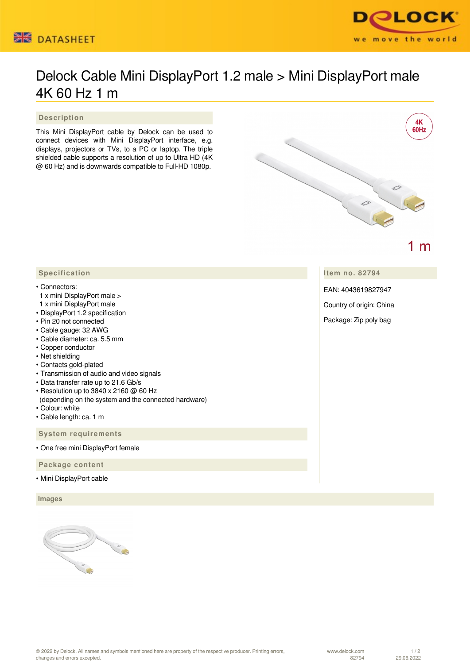



## Delock Cable Mini DisplayPort 1.2 male > Mini DisplayPort male 4K 60 Hz 1 m

 **Description**

This Mini DisplayPort cable by Delock can be used to connect devices with Mini DisplayPort interface, e.g. displays, projectors or TVs, to a PC or laptop. The triple shielded cable supports a resolution of up to Ultra HD (4K @ 60 Hz) and is downwards compatible to Full-HD 1080p.



**Item no. 82794**

EAN: 4043619827947

Country of origin: China

Package: Zip poly bag

## **Specification**

## • Connectors:

- 1 x mini DisplayPort male >
- 1 x mini DisplayPort male
- DisplayPort 1.2 specification
- Pin 20 not connected
- Cable gauge: 32 AWG
- Cable diameter: ca. 5.5 mm
- Copper conductor
- Net shielding
- Contacts gold-plated
- Transmission of audio and video signals
- Data transfer rate up to 21.6 Gb/s
- Resolution up to 3840 x 2160 @ 60 Hz
- (depending on the system and the connected hardware)
- Colour: white
- Cable length: ca. 1 m

## **System requirements**

• One free mini DisplayPort female

 **Package content**

• Mini DisplayPort cable

 **Images**